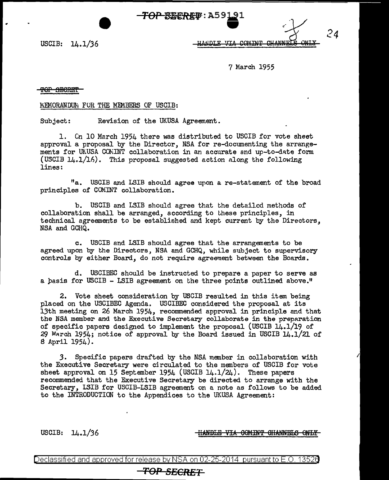*TOP BECRET***: A59191** 

USCIB: 14.1/36

*24* 

HANDI F

7 March 1955

### <del>TOP SECRET</del>

•

#### MEMORANDUM FOR THE MEMBERS OF USCIB:

Subject: Revision of the UKUSA Agreement.

1. Cn 10 March 1954 there was distributed to USCIB for vote sheet approval a proposal by the Director, NSA for re-documenting the arrangements for UKUSA COMINT collaboration in an accurate and up-to-date form (USCIB 14.1/16). This proposal suggested action Along the following lines:

"a. USCIB and LSIB should agree upon a re-statement of the broad principles of COMINT collaboration.

b. USCIB and LSIB should agree that the detailed methods of collaboration shall be arranged, according to these principles, in technical agreements to be established and kept current by the Directors, NSA and GCHQ.

c. USCIB and LSIB should agree that the arrangements to be agreed upon by the Directors, NSA and GCHQ, while subject to supervisory controls by either Board, do not require agreement between the Boards.

d. USCIBEC should be instructed to prepare a paper to serve as a basis for USCIB - LSIB agreement on the three points outlined above."

2. Vote sheet consideration by USCIB resulted in this item being placed on the USCIBEC Agenda. USCIBEC considered the proposal at its 13th meeting on 26 March 1954, recommended approval in principle and that the NSA member and the Executive Secretary collaborate in the preparation of specific papers designed to implement the proposal (USCIB 14.1/19 of 29 March 1954; notice of approval by the Board issued in USCIB  $14.1/21$  of 8 April 1954).

*3.* Specific papers drafted by the NSA member in collaboration with the Executive Secretary were circulated to the members of USCIB for vote sheet approval on 15 September 1954 (USCIB  $14.1/24$ ). These papers recommended that the Executive Secretary be directed. to arrange with the Secretary, LSIB for USCIB-LSIB agreement on a note as follows to be added to the INTRODUCTION to the Appendices to the UK.USA Agreement:

USCIB: 14.1/36 **HANDLE VIA COMINT CHANNELS ONLY** 

Declassified and approved for release by NSA on 02-25-2014 pursuantto E.O. 1352a

# *TOP SECRET*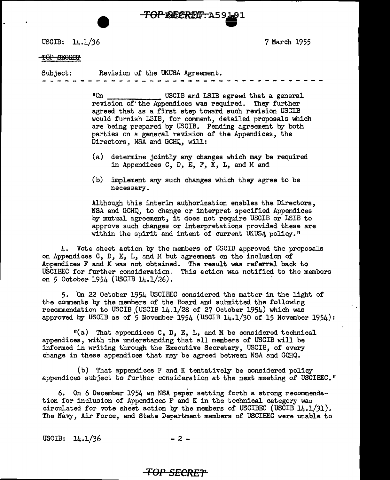USCIB:  $14.1/36$ 

7 March 1955

### TOP SEGRET

Subject: Revision of the UKUSA Agreement.

**TOP-REERED: A59** 

"On USCIB and LSIB agreed that a general revision of'the Appendices was required. They further agreed that as a first step toward such revision USCIB would furnish LSIB, for comment, detailed proposals which are being prepared by USCIB. Pending agreement by both parties on a general revision of the Appendices, the Directors, NSA and GCHQ, will:

-<br>-<br>-

- (a) determine jointly any changes which may be required in Appendices c, D, E, *F,* K, L, and M and
- (b) implement any such changes which they agree to be necessary.

Although this interim authorization enables the Directors, NSA and GCHQ, to change or interpret specified Appendices by mutual agreement, it does not require USCIB or LSIB to approve such changes or interpretations provided these are within the spirit and intent of current UKUSA policy."

4. Vote sheet action by the members of USCIB approved the proposals on Appendices  $C$ ,  $D$ ,  $E$ ,  $L$ , and M but agreement on the inclusion of Appendices F and K was not obtained. The result was referral back to USCIBEC for further consideration. This action was notified to the members on 5 October 1954 (USCIB  $14.1/26$ ).

5. On 22 October 1954 USCIBEC considered the matter in the light of the comments by the members of the Board and submitted the following recommendation to. USCIB,(USCIB 14.1/28 of 27 October 1954) which was approved by USCIB as of 5 November 1954 (USCIB  $14.1/30$  of 15 November 1954):

 $"$ (a) That appendices  $C$ ,  $D$ ,  $E$ ,  $L$ , and  $M$  be considered technical appendices, with the understanding that all members of USCIB will be informed in writing through the Executive Secretary, USCIB, of every change in these appendices that may be agreed between NSA and GCHQ.

(b) That appendices F and K tentatively be considered policy appendices subject to further consideration at the next meeting of USCIBEC."

6. On 6 December 1954 an NSA paper setting forth a strong recommendation for inclusion of Arpendices F and K in the technical category was circulated for vote sheet action by the members of USCIBEC (USCIB 14.1/31). The Navy, Air Force, and State Department members of USCIBEC were unable to

USCIB:  $14.1/36$  - 2 -

# **TO:P** *SECRET*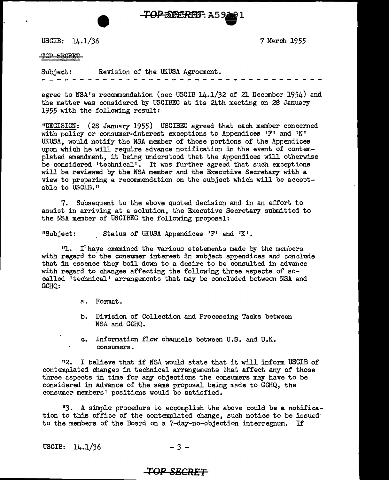**TOP SECRET: A5 94091** 

USCIB:  $14.1/36$ 

7 M8rch 1955

#### TOP SECRET

Subject: Revision of the UKUSA Agreement.

agree to NSA's recommendation (see USCIB  $14.1/32$  of 21 December 1954) and the matter was considered by USCIBEC at its 24th meeting on 2B January 1955 with the following result:

"DECISION: (28 January 1955) USCIBEC agreed that each member concerned with policy or consumer-interest exceptions to Appendices 'F' and 'K' UK.USA, would notify the NSA member of those portions of the Appendices upon which he will require edvance notification in the event of contemplated amendment, it being understood that the Appendices will otherwise be considered 'technical'. It was further agreed that such exceptions will be reviewed by the NSA member and the Executive Secretary with a view to preparing a reconunendation on the subject which will be acceptable to USCIB."

7. Subsequent to the above quoted decision and in an effort to assist in arriving at a solution, the Executive Secretary submitted to the NSA member of USCIBEC the following proposal:

"Subject: Status of UKUSA Appendices  $'F'$  and  $'K'$ .

 $11.$  I' have examined the various statements made by the members with regard to'the consumer interest in subject appendices and conclude that in essence they boil down to a desire to be consulted in advance with regard to changes affecting the following three aspects of socalled 'technical' arrangements that may be concluded between NSA and GCHQ:

a. Format.

- b. Division of Collection and Processing Tasks between NSA and GCHQ.
- c. Information flow channels between U.S. and U.K. consumers.

"2. I believe that if NSA would state that it will inform USCIB of contemplated changes in technical arrangements that affect any of those three aspects in time for any objections the consumers may have to be considered in advance of the same proposal being made to GCHQ, the consumer members' positions would be satisfied.

113. A simple procedure to accomplish the above could be a notification to this office of the contemplated change, such notice to be issued' to the members of the Board on a ?-day-no-objection interregnum. If

USCIB:  $14.1/36$  - 3 -

## **TOP SECRET**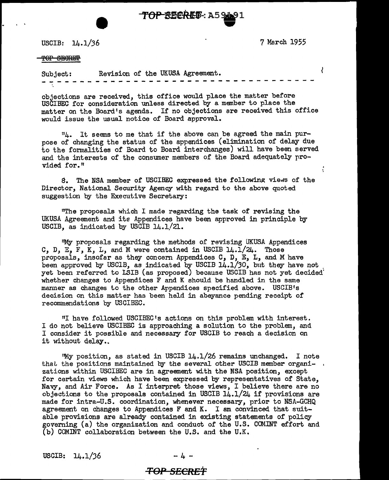.. **TOP** 82€.ffl.•-: AS~l .,

USCIB: 14.1/36

7 March 1955

 $\ddot{\cdot}$ 

### $\overline{\text{for}}$  SECRET

ł Subject: Revision of the UKUSA Agreement. - - - - - - - - - - - -- - - - - - -- - - - - - - -

objections are received, this office would place the matter before USCIBEC for consideration unless directed by a member to place the matter on the Board's agenda. If no objections are received this office would issue the usual notice of Board approval.

114. It seems to me that if the above can be agreed the main purpose of changing the status of the appendices (elimination of delay due to the formalities of Board to Board interchanges) will have been served and the interests of the consumer members of the Board adequately provided for.<sup>11</sup>

S. The NSA member of USCIBEC expressed the following views of the Director, National Security Agency with regard to the above quoted suggestion by the Executive Secretary:

11The proposals which I made regarding the task of revising the UKUSA Agreement and its Appendices have been approved in principle by USCIB, as indicated by USCIB 14.1/21.

"My proposals regarding the methods of revising UKUSA Appendices C, D, E, F, K, L, and M were contained in USCIB  $14.1/24$ . Those proposals, insofar as they concern Appendices  $C$ ,  $D$ ,  $E$ ,  $L$ , and M have not been approved by USCIB, as indicated by USCIB 14.1/30, but they have not yet been referred to LSIB (as proposed) because USCIB has not yet decided whether changes to Appendices F and K should be handled in the same manner as changes to the other Appendices specified above. USCIB1s decision on this matter has been held in abeyance pending receipt of recommendations by USCIBEC.

"I have followed USCIBEC <sup>1</sup>s actions on this problem with interest. I do not believe USCIBEC is approaching a solution to the problem, and I consider it possible and necessary for USCIB to reach a decision on it without delay..

"My position, as stated in USCIB 14.1/26 remains unchanged. I note that the positions maintained by the several other USCIB member organizations within USCIBEC are in agreement with the NSA position, except for certain views which have been expressed by representatives of State, Navy, and Air Force. As I interpret those views, I believe there are no objections to the proposals contained in USCIB  $14.1/24$  if provisions are made for intra-U.S. coordination, whenever necessary, prior to NSA-GCHQ agreement on changes to Appendices F and K. I am convinced that suitable provisions are already contained in existing statements of policy governing (a) the organization and conduct of the U.S. COMINT effort; and (b) COMINT collaboration between the U.S. and the U.K.

 $USCIB: 14.1/36$ 

### *TOP* **SECREt**